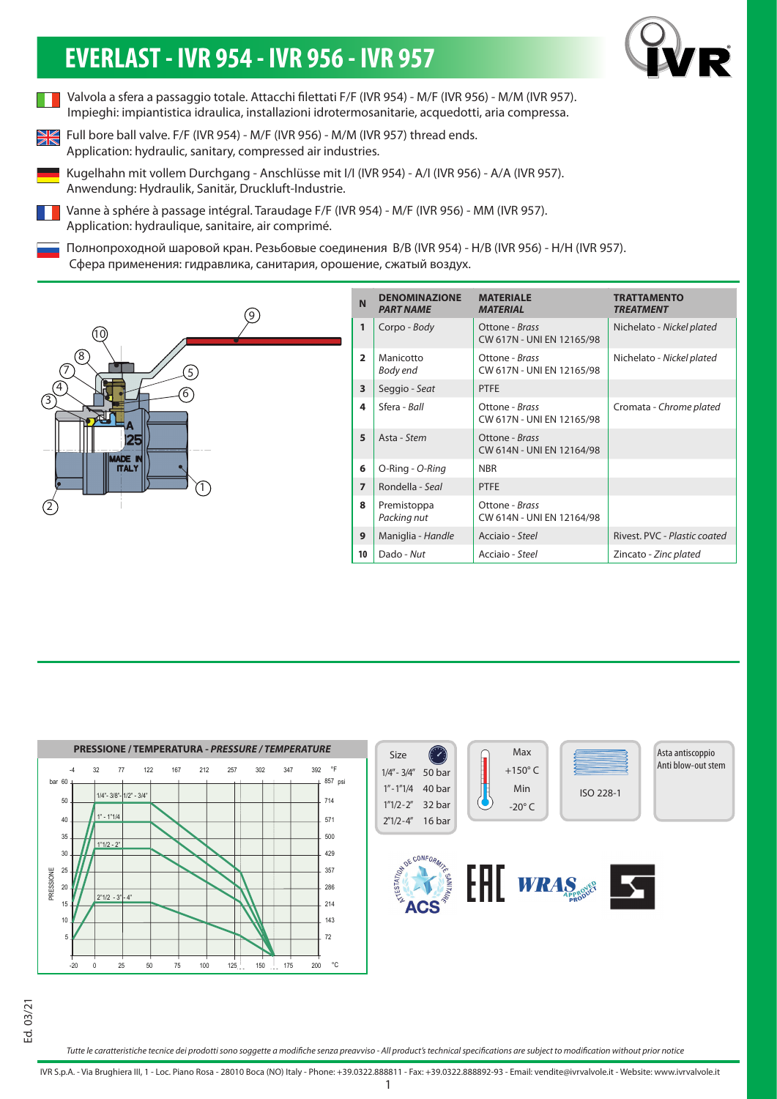## **EVERLAST - IVR 954 - IVR 956 - IVR 957**



- Valvola a sfera a passaggio totale. Attacchi filettati F/F (IVR 954) M/F (IVR 956) M/M (IVR 957). Impieghi: impiantistica idraulica, installazioni idrotermosanitarie, acquedotti, aria compressa.
- Full bore ball valve. F/F (IVR 954) M/F (IVR 956) M/M (IVR 957) thread ends.  $\frac{N}{N}$ Application: hydraulic, sanitary, compressed air industries.
- Kugelhahn mit vollem Durchgang Anschlüsse mit I/I (IVR 954) A/I (IVR 956) A/A (IVR 957). Anwendung: Hydraulik, Sanitär, Druckluft-Industrie.
- Vanne à sphére à passage intégral. Taraudage F/F (IVR 954) M/F (IVR 956) MM (IVR 957). Application: hydraulique, sanitaire, air comprimé.
- Полнопроходной шаровой кран. Резьбовые соединения B/B (IVR 954) H/B (IVR 956) H/H (IVR 957). Сфера применения: гидравлика, санитария, орошение, сжатый воздух.



| N              | <b>DENOMINAZIONE</b><br><b>PART NAME</b> | <b>MATERIALE</b><br><b>MATERIAL</b>         | <b>TRATTAMENTO</b><br><b>TREATMENT</b> |  |  |  |  |  |
|----------------|------------------------------------------|---------------------------------------------|----------------------------------------|--|--|--|--|--|
| 1              | Corpo - Body                             | Ottone - Brass<br>CW 617N - UNI EN 12165/98 | Nichelato - Nickel plated              |  |  |  |  |  |
| $\overline{2}$ | Manicotto<br>Body end                    | Ottone - Brass<br>CW 617N - UNI EN 12165/98 | Nichelato - Nickel plated              |  |  |  |  |  |
| 3              | Seggio - Seat                            | <b>PTFE</b>                                 |                                        |  |  |  |  |  |
| 4              | Sfera - Ball                             | Ottone - Brass<br>CW 617N - UNI EN 12165/98 | Cromata - Chrome plated                |  |  |  |  |  |
| 5              | Asta - Stem                              | Ottone - Brass<br>CW 614N - UNI EN 12164/98 |                                        |  |  |  |  |  |
| 6              | O-Ring - O-Ring                          | <b>NBR</b>                                  |                                        |  |  |  |  |  |
| $\overline{7}$ | Rondella - Seal                          | <b>PTFE</b>                                 |                                        |  |  |  |  |  |
| 8              | Premistoppa<br>Packing nut               | Ottone - Brass<br>CW 614N - UNI EN 12164/98 |                                        |  |  |  |  |  |
| 9              | Maniglia - Handle                        | Acciaio - Steel                             | Rivest, PVC - Plastic coated           |  |  |  |  |  |
| 10             | Dado - Nut                               | Acciaio - Steel                             | Zincato - Zinc plated                  |  |  |  |  |  |



*Tutte le caratteristiche tecnice dei prodotti sono soggette a modifiche senza preavviso - All product's technical specifications are subject to modification without prior notice*